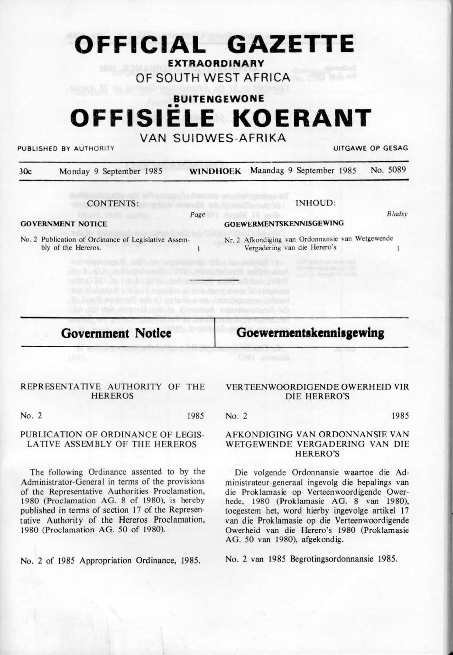# **OFFICIAL GAZETTE**

**EXTRAORDINARY** 

**OF SOUTH WEST AFR ICA** 

# **BUITENGEWONE**  •• **OFFISIELE KOERANT**

### **VAN SU IDWES-AFRIKA**

PUBLISHED BY AUTHORITY **UITGAWE OP GESAG** 

| 30c | Monday 9 September 1985                                                     | <b>WINDHOEK</b> | Maandag 9 September 1985                                                         |         |  | No. 5089 |
|-----|-----------------------------------------------------------------------------|-----------------|----------------------------------------------------------------------------------|---------|--|----------|
|     | <b>CONTENTS:</b>                                                            |                 |                                                                                  | INHOUD: |  |          |
|     |                                                                             | Page            |                                                                                  |         |  | Bladsy   |
|     | <b>GOVERNMENT NOTICE</b>                                                    |                 | <b>GOEWERMENTSKENNISGEWING</b>                                                   |         |  |          |
|     | No. 2 Publication of Ordinance of Legislative Assem-<br>bly of the Hereros. |                 | Nr. 2 Afkondiging van Ordonnansie van Wetgewende<br>Vergadering van die Herero's |         |  |          |
|     | unga ke dali kelas pada atau masa selasi president val                      |                 |                                                                                  |         |  |          |

**Government Notice** 

Goewermentskennisgewing

#### REPRESENTATIVE AUTHORITY OF THE **HEREROS**

No. 2 1985

#### PUBLICATION OF ORDINANCE OF LEGIS-LATIVE ASSEMBLY OF THE HEREROS

The following Ordinance assented to by the Administrator-General in terms of the provisions of the Representative Authorities Proclamation, 1980 (Proclamation AG. 8 of 1980), is hereby published in terms of section 17 of the Representative Authority of the Hereros Proclamation, 1980 (Proclamation AG. 50 of 1980).

No. 2 of 1985 Appropriation Ordinance, 1985.

#### VERTEENWOORDIGENDE OWERHEID VIR DIE HERERO'S

No. 2 1985

AFKONDIGING VAN ORDONNANSIE VAN WETGEWENDE VERGADERING VAN DIE HERERO'S

Die volgende Ordonnansie waartoe die Administrateur-generaal ingevolg die bepalings van die Proklamasie op Verteenwoordigende Owerhede, 1980 (Proklamasie AG. 8 van 1980), toegestem het, word hierby ingevolge artikel 17 van die Proklamasie op die Verteenwoordigende Owerheid van die Herero's 1980 (Proklamasie AG. 50 van 1980), afgekondig.

No. 2 van 1985 Begrotingsordonnansie 1985.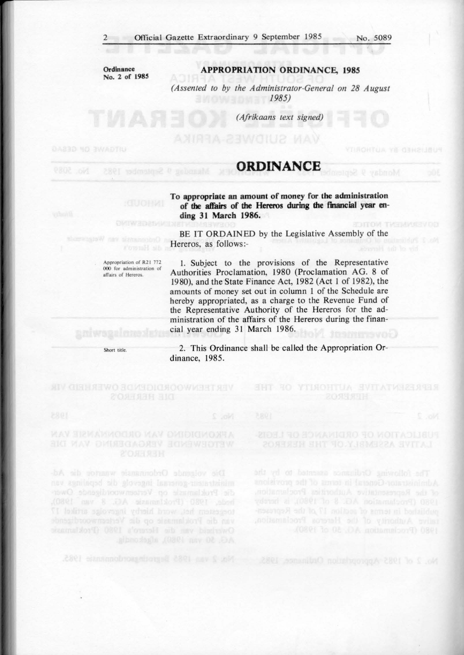**Ordinance**  No. 2 of 1985

#### **APPROPRIATION ORDINANCE., 1985**

*(Assented to by the Administrator-General on 28 August 1985)* 

*(Afrikaans text signed)* 

## **ORDINANCE**

**To appropriate an amount of money for the admlnlstradon of the affairs of the Hereros during the financial year ending 31 March 1986. DITOW TWENNEY OD** 

BE IT ORDAINED by the Legislative Assembly of the Hereros, as follows:-

Appropriation of R21 772 000 for administration of affairs of **Hereros**,

1. Subject to the provisions of the Representative Authorities Proclamation, 1980 (Proclamation AG. 8 of 1980), and the State Finance Act, 1982 (Act I of 1982), the amounts of money set out in column 1 of the Schedule are hereby appropriated, as a charge to the Revenue Fund of the Representative Authority of the Hereros for the administration of the affairs of the Hereros during the financial year ending 31 March 1986.

Short title

2. This Ordinance shall be called the Appropriation Ordinance, 1985.

die Proklammse op Verteenvoordseende Ower-

of the Representative Authorities Proclamation,